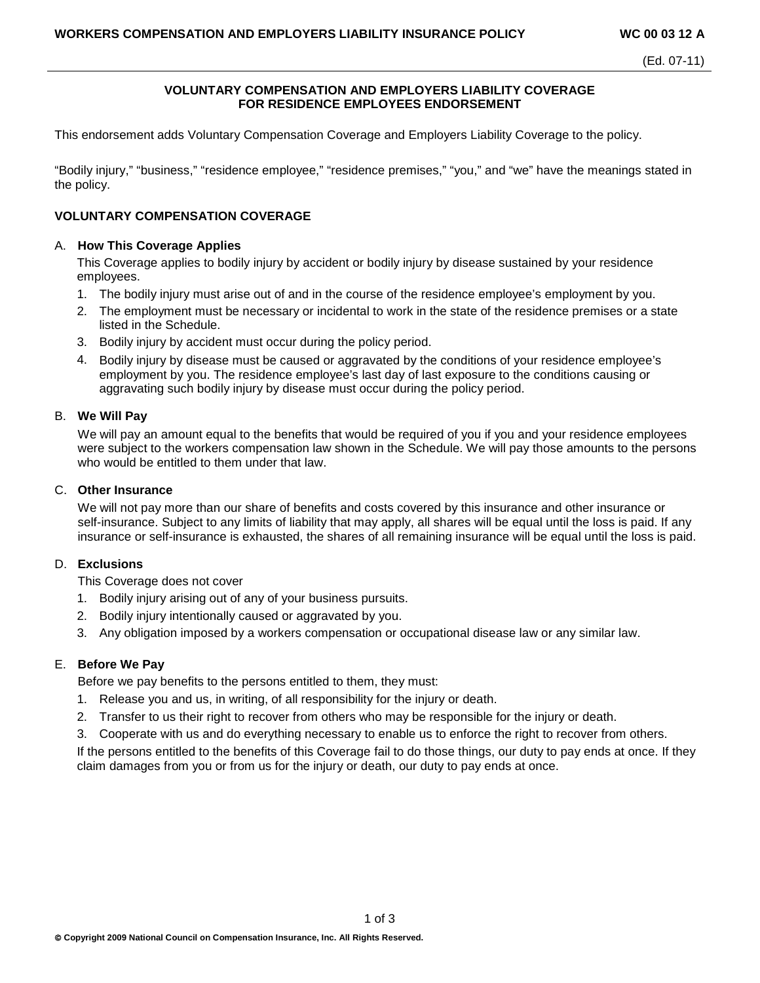## **VOLUNTARY COMPENSATION AND EMPLOYERS LIABILITY COVERAGE FOR RESIDENCE EMPLOYEES ENDORSEMENT**

This endorsement adds Voluntary Compensation Coverage and Employers Liability Coverage to the policy.

"Bodily injury," "business," "residence employee," "residence premises," "you," and "we" have the meanings stated in the policy.

## **VOLUNTARY COMPENSATION COVERAGE**

## A. **How This Coverage Applies**

This Coverage applies to bodily injury by accident or bodily injury by disease sustained by your residence employees.

- 1. The bodily injury must arise out of and in the course of the residence employee's employment by you.
- 2. The employment must be necessary or incidental to work in the state of the residence premises or a state listed in the Schedule.
- 3. Bodily injury by accident must occur during the policy period.
- 4. Bodily injury by disease must be caused or aggravated by the conditions of your residence employee's employment by you. The residence employee's last day of last exposure to the conditions causing or aggravating such bodily injury by disease must occur during the policy period.

## B. **We Will Pay**

We will pay an amount equal to the benefits that would be required of you if you and your residence employees were subject to the workers compensation law shown in the Schedule. We will pay those amounts to the persons who would be entitled to them under that law.

#### C. **Other Insurance**

We will not pay more than our share of benefits and costs covered by this insurance and other insurance or self-insurance. Subject to any limits of liability that may apply, all shares will be equal until the loss is paid. If any insurance or self-insurance is exhausted, the shares of all remaining insurance will be equal until the loss is paid.

## D. **Exclusions**

This Coverage does not cover

- 1. Bodily injury arising out of any of your business pursuits.
- 2. Bodily injury intentionally caused or aggravated by you.
- 3. Any obligation imposed by a workers compensation or occupational disease law or any similar law.

## E. **Before We Pay**

Before we pay benefits to the persons entitled to them, they must:

- 1. Release you and us, in writing, of all responsibility for the injury or death.
- 2. Transfer to us their right to recover from others who may be responsible for the injury or death.
- 3. Cooperate with us and do everything necessary to enable us to enforce the right to recover from others.

If the persons entitled to the benefits of this Coverage fail to do those things, our duty to pay ends at once. If they claim damages from you or from us for the injury or death, our duty to pay ends at once.

1 of 3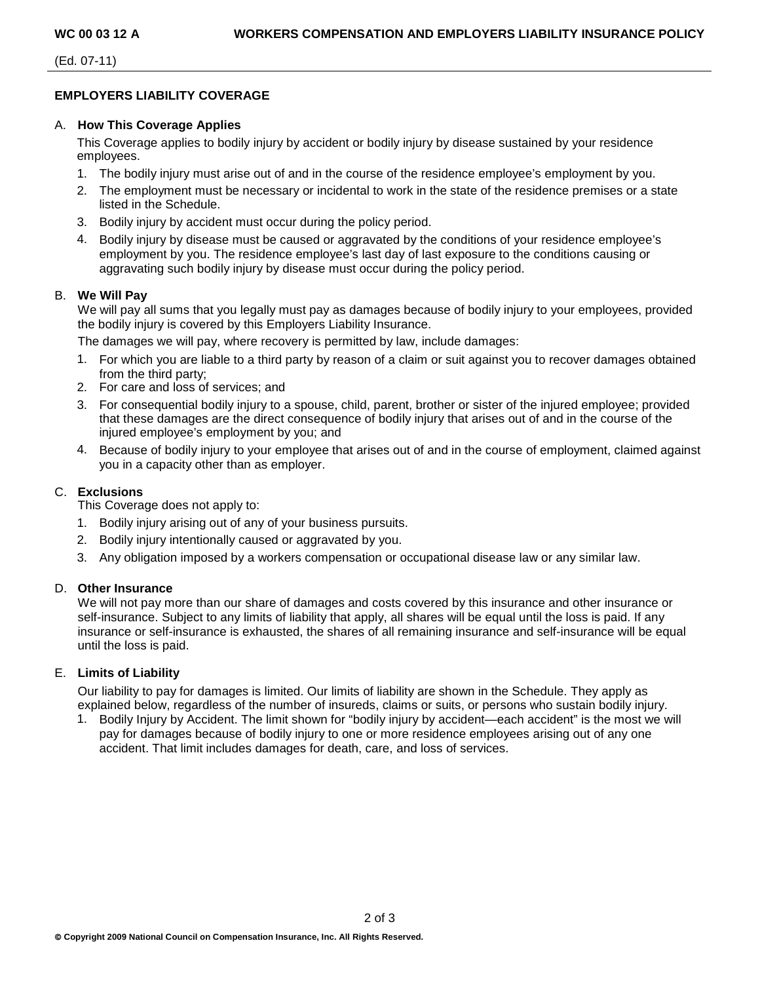(Ed. 07-11)

## **EMPLOYERS LIABILITY COVERAGE**

## A. **How This Coverage Applies**

This Coverage applies to bodily injury by accident or bodily injury by disease sustained by your residence employees.

- 1. The bodily injury must arise out of and in the course of the residence employee's employment by you.
- 2. The employment must be necessary or incidental to work in the state of the residence premises or a state listed in the Schedule.
- 3. Bodily injury by accident must occur during the policy period.
- 4. Bodily injury by disease must be caused or aggravated by the conditions of your residence employee's employment by you. The residence employee's last day of last exposure to the conditions causing or aggravating such bodily injury by disease must occur during the policy period.

## B. **We Will Pay**

We will pay all sums that you legally must pay as damages because of bodily injury to your employees, provided the bodily injury is covered by this Employers Liability Insurance.

The damages we will pay, where recovery is permitted by law, include damages:

- 1. For which you are liable to a third party by reason of a claim or suit against you to recover damages obtained from the third party;
- 2. For care and loss of services; and
- 3. For consequential bodily injury to a spouse, child, parent, brother or sister of the injured employee; provided that these damages are the direct consequence of bodily injury that arises out of and in the course of the injured employee's employment by you; and
- 4. Because of bodily injury to your employee that arises out of and in the course of employment, claimed against you in a capacity other than as employer.

# C. **Exclusions**

This Coverage does not apply to:

- 1. Bodily injury arising out of any of your business pursuits.
- 2. Bodily injury intentionally caused or aggravated by you.
- 3. Any obligation imposed by a workers compensation or occupational disease law or any similar law.

## D. **Other Insurance**

We will not pay more than our share of damages and costs covered by this insurance and other insurance or self-insurance. Subject to any limits of liability that apply, all shares will be equal until the loss is paid. If any insurance or self-insurance is exhausted, the shares of all remaining insurance and self-insurance will be equal until the loss is paid.

## E. **Limits of Liability**

Our liability to pay for damages is limited. Our limits of liability are shown in the Schedule. They apply as explained below, regardless of the number of insureds, claims or suits, or persons who sustain bodily injury.

1. Bodily Injury by Accident. The limit shown for "bodily injury by accident—each accident" is the most we will pay for damages because of bodily injury to one or more residence employees arising out of any one accident. That limit includes damages for death, care, and loss of services.

2 of 3